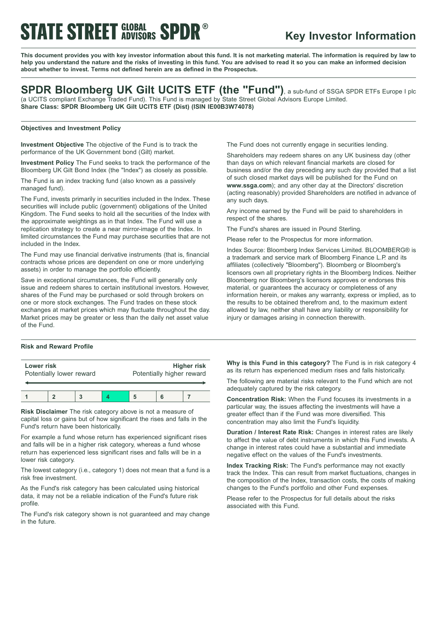# **STATE STREET GLOBAL SPDR®**

# **Key Investor Information**

This document provides you with key investor information about this fund. It is not marketing material. The information is required by law to help you understand the nature and the risks of investing in this fund. You are advised to read it so you can make an informed decision **about whether to invest. Terms not defined herein are as defined in the Prospectus.**

**SPDR Bloomberg UK Gilt UCITS ETF (the "Fund")**, <sup>a</sup> sub-fund of SSGA SPDR ETFs Europe <sup>I</sup> plc (a UCITS compliant Exchange Traded Fund). This Fund is managed by State Street Global Advisors Europe Limited. **Share Class: SPDR Bloomberg UK Gilt UCITS ETF (Dist) (ISIN IE00B3W74078)**

#### **Objectives and Investment Policy**

**Investment Objective** The objective of the Fund is to track the performance of the UK Government bond (Gilt) market.

**Investment Policy** The Fund seeks to track the performance of the Bloomberg UK Gilt Bond Index (the "Index") as closely as possible.

The Fund is an index tracking fund (also known as a passively managed fund).

The Fund, invests primarily in securities included in the Index. These securities will include public (government) obligations of the United Kingdom. The Fund seeks to hold all the securities of the Index with the approximate weightings as in that Index. The Fund will use a replication strategy to create a near mirror-image of the Index. In limited circumstances the Fund may purchase securities that are not included in the Index.

The Fund may use financial derivative instruments (that is, financial contracts whose prices are dependent on one or more underlying assets) in order to manage the portfolio efficiently.

Save in exceptional circumstances, the Fund will generally only issue and redeem shares to certain institutional investors. However, shares of the Fund may be purchased or sold through brokers on one or more stock exchanges. The Fund trades on these stock exchanges at market prices which may fluctuate throughout the day. Market prices may be greater or less than the daily net asset value of the Fund.

## **Risk and Reward Profile**

| Lower risk               |  |  |  | <b>Higher risk</b>        |  |  |
|--------------------------|--|--|--|---------------------------|--|--|
| Potentially lower reward |  |  |  | Potentially higher reward |  |  |
|                          |  |  |  |                           |  |  |

**Risk Disclaimer** The risk category above is not a measure of capital loss or gains but of how significant the rises and falls in the Fund's return have been historically.

For example a fund whose return has experienced significant rises and falls will be in a higher risk category, whereas a fund whose return has experienced less significant rises and falls will be in a lower risk category.

The lowest category (i.e., category 1) does not mean that a fund is a risk free investment.

As the Fund's risk category has been calculated using historical data, it may not be a reliable indication of the Fund's future risk profile.

The Fund's risk category shown is not guaranteed and may change in the future.

The Fund does not currently engage in securities lending.

Shareholders may redeem shares on any UK business day (other than days on which relevant financial markets are closed for business and/or the day preceding any such day provided that a list of such closed market days will be published for the Fund on **www.ssga.com**); and any other day at the Directors' discretion (acting reasonably) provided Shareholders are notified in advance of any such days.

Any income earned by the Fund will be paid to shareholders in respect of the shares.

The Fund's shares are issued in Pound Sterling.

Please refer to the Prospectus for more information.

Index Source: Bloomberg Index Services Limited. BLOOMBERG® is a trademark and service mark of Bloomberg Finance L.P. and its affiliates (collectively "Bloomberg"). Bloomberg or Bloomberg's licensors own all proprietary rights in the Bloomberg Indices. Neither Bloomberg nor Bloomberg's licensors approves or endorses this material, or guarantees the accuracy or completeness of any information herein, or makes any warranty, express or implied, as to the results to be obtained therefrom and, to the maximum extent allowed by law, neither shall have any liability or responsibility for injury or damages arising in connection therewith.

**Why is this Fund in this category?** The Fund is in risk category 4 as its return has experienced medium rises and falls historically.

The following are material risks relevant to the Fund which are not adequately captured by the risk category.

**Concentration Risk:** When the Fund focuses its investments in a particular way, the issues affecting the investments will have a greater effect than if the Fund was more diversified. This concentration may also limit the Fund's liquidity.

**Duration / Interest Rate Risk:** Changes in interest rates are likely to affect the value of debt instruments in which this Fund invests. A change in interest rates could have a substantial and immediate negative effect on the values of the Fund's investments.

**Index Tracking Risk:** The Fund's performance may not exactly track the Index. This can result from market fluctuations, changes in the composition of the Index, transaction costs, the costs of making changes to the Fund's portfolio and other Fund expenses.

Please refer to the Prospectus for full details about the risks associated with this Fund.